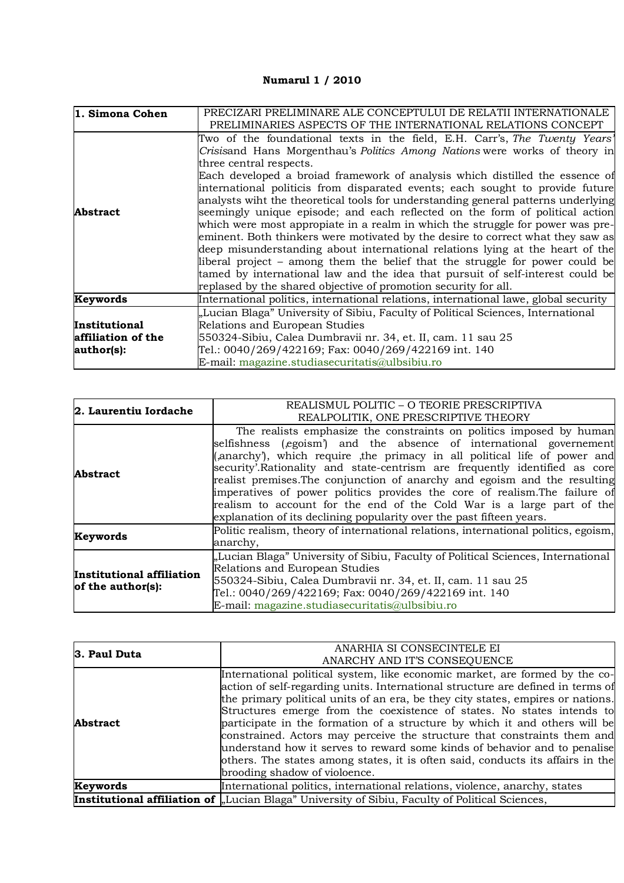## **Numarul 1 / 2010**

| 1. Simona Cohen                                   | PRECIZARI PRELIMINARE ALE CONCEPTULUI DE RELATII INTERNATIONALE<br>PRELIMINARIES ASPECTS OF THE INTERNATIONAL RELATIONS CONCEPT                                                                                                                                                                                                                                                                                                                                                                                                                                                                                                                                                                                                                                                                                                                                                                                                                                                                                      |
|---------------------------------------------------|----------------------------------------------------------------------------------------------------------------------------------------------------------------------------------------------------------------------------------------------------------------------------------------------------------------------------------------------------------------------------------------------------------------------------------------------------------------------------------------------------------------------------------------------------------------------------------------------------------------------------------------------------------------------------------------------------------------------------------------------------------------------------------------------------------------------------------------------------------------------------------------------------------------------------------------------------------------------------------------------------------------------|
| Abstract                                          | Two of the foundational texts in the field, E.H. Carr's, The Twenty Years'<br>Crisisand Hans Morgenthau's Politics Among Nations were works of theory in<br>three central respects.<br>Each developed a broiad framework of analysis which distilled the essence of<br>international politicis from disparated events; each sought to provide future<br>analysts wiht the theoretical tools for understanding general patterns underlying<br>seemingly unique episode; and each reflected on the form of political action<br>which were most appropiate in a realm in which the struggle for power was pre-<br>eminent. Both thinkers were motivated by the desire to correct what they saw as<br>deep misunderstanding about international relations lying at the heart of the<br>liberal project – among them the belief that the struggle for power could be<br>tamed by international law and the idea that pursuit of self-interest could be<br>replased by the shared objective of promotion security for all. |
| Keywords                                          | International politics, international relations, international lawe, global security                                                                                                                                                                                                                                                                                                                                                                                                                                                                                                                                                                                                                                                                                                                                                                                                                                                                                                                                 |
| Institutional<br>affiliation of the<br>author(s): | "Lucian Blaga" University of Sibiu, Faculty of Political Sciences, International<br>Relations and European Studies<br>550324-Sibiu, Calea Dumbravii nr. 34, et. II, cam. 11 sau 25<br>Tel.: 0040/269/422169; Fax: 0040/269/422169 int. 140                                                                                                                                                                                                                                                                                                                                                                                                                                                                                                                                                                                                                                                                                                                                                                           |
|                                                   | E-mail: magazine.studiasecuritatis@ulbsibiu.ro                                                                                                                                                                                                                                                                                                                                                                                                                                                                                                                                                                                                                                                                                                                                                                                                                                                                                                                                                                       |

| 2. Laurentiu Iordache                          | REALISMUL POLITIC - O TEORIE PRESCRIPTIVA                                                                                                                                                                                                                                                                                                                                                                                                                                                                                             |  |
|------------------------------------------------|---------------------------------------------------------------------------------------------------------------------------------------------------------------------------------------------------------------------------------------------------------------------------------------------------------------------------------------------------------------------------------------------------------------------------------------------------------------------------------------------------------------------------------------|--|
|                                                | REALPOLITIK, ONE PRESCRIPTIVE THEORY                                                                                                                                                                                                                                                                                                                                                                                                                                                                                                  |  |
| <b>Abstract</b>                                | The realists emphasize the constraints on politics imposed by human<br>selfishness (egoism) and the absence of international governement<br>(anarchy), which require the primacy in all political life of power and<br>security'.Rationality and state-centrism are frequently identified as core<br>realist premises. The conjunction of anarchy and egoism and the resulting<br>imperatives of power politics provides the core of realism. The failure of<br>realism to account for the end of the Cold War is a large part of the |  |
|                                                | explanation of its declining popularity over the past fifteen years.                                                                                                                                                                                                                                                                                                                                                                                                                                                                  |  |
| Keywords                                       | Politic realism, theory of international relations, international politics, egoism,<br>anarchy,                                                                                                                                                                                                                                                                                                                                                                                                                                       |  |
| Institutional affiliation<br>of the author(s): | "Lucian Blaga" University of Sibiu, Faculty of Political Sciences, International<br>Relations and European Studies<br>550324-Sibiu, Calea Dumbravii nr. 34, et. II, cam. 11 sau 25<br>Tel.: 0040/269/422169; Fax: 0040/269/422169 int. 140<br>E-mail: magazine.studiasecuritatis@ulbsibiu.ro                                                                                                                                                                                                                                          |  |

| 3. Paul Duta    | ANARHIA SI CONSECINTELE EI                                                                                                                                                                                                                                                                                                                                                                                                                                                                                                                                                                                                                                                            |
|-----------------|---------------------------------------------------------------------------------------------------------------------------------------------------------------------------------------------------------------------------------------------------------------------------------------------------------------------------------------------------------------------------------------------------------------------------------------------------------------------------------------------------------------------------------------------------------------------------------------------------------------------------------------------------------------------------------------|
|                 | ANARCHY AND IT'S CONSEQUENCE                                                                                                                                                                                                                                                                                                                                                                                                                                                                                                                                                                                                                                                          |
| <b>Abstract</b> | International political system, like economic market, are formed by the co-<br>action of self-regarding units. International structure are defined in terms of<br>the primary political units of an era, be they city states, empires or nations.<br>Structures emerge from the coexistence of states. No states intends to<br>participate in the formation of a structure by which it and others will be<br>constrained. Actors may perceive the structure that constraints them and<br>understand how it serves to reward some kinds of behavior and to penalise<br>others. The states among states, it is often said, conducts its affairs in the<br>brooding shadow of violoence. |
| Keywords        | International politics, international relations, violence, anarchy, states                                                                                                                                                                                                                                                                                                                                                                                                                                                                                                                                                                                                            |
|                 | <b>Institutional affiliation of</b> "Lucian Blaga" University of Sibiu, Faculty of Political Sciences,                                                                                                                                                                                                                                                                                                                                                                                                                                                                                                                                                                                |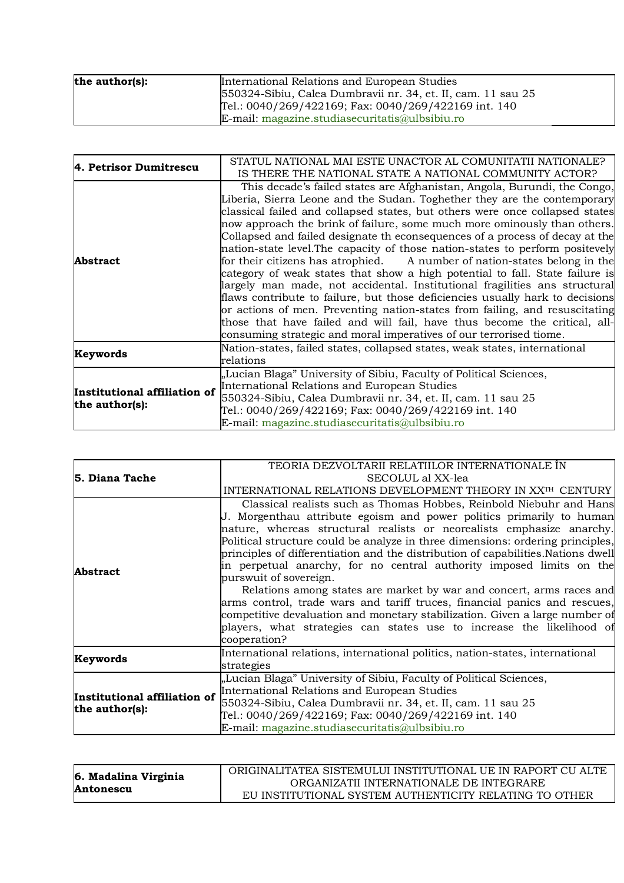| the author(s): | International Relations and European Studies                 |
|----------------|--------------------------------------------------------------|
|                | 550324-Sibiu, Calea Dumbravii nr. 34, et. II, cam. 11 sau 25 |
|                | Tel.: 0040/269/422169; Fax: 0040/269/422169 int. 140         |
|                | E-mail: magazine.studiasecuritatis@ulbsibiu.ro               |

| 4. Petrisor Dumitrescu                         | STATUL NATIONAL MAI ESTE UNACTOR AL COMUNITATII NATIONALE?<br>IS THERE THE NATIONAL STATE A NATIONAL COMMUNITY ACTOR?                                                                                                                                                                                                                                                                                                                                                                                                                                                                                                                                                                                                                                                                                                                                                                                                                                                                                                                           |
|------------------------------------------------|-------------------------------------------------------------------------------------------------------------------------------------------------------------------------------------------------------------------------------------------------------------------------------------------------------------------------------------------------------------------------------------------------------------------------------------------------------------------------------------------------------------------------------------------------------------------------------------------------------------------------------------------------------------------------------------------------------------------------------------------------------------------------------------------------------------------------------------------------------------------------------------------------------------------------------------------------------------------------------------------------------------------------------------------------|
| <b>Abstract</b>                                | This decade's failed states are Afghanistan, Angola, Burundi, the Congo,<br>Liberia, Sierra Leone and the Sudan. Toghether they are the contemporary<br>classical failed and collapsed states, but others were once collapsed states<br>now approach the brink of failure, some much more ominously than others.<br>Collapsed and failed designate th econsequences of a process of decay at the<br>nation-state level. The capacity of those nation-states to perform positevely<br>for their citizens has atrophied. A number of nation-states belong in the<br>category of weak states that show a high potential to fall. State failure is<br>largely man made, not accidental. Institutional fragilities ans structural<br>flaws contribute to failure, but those deficiencies usually hark to decisions<br>or actions of men. Preventing nation-states from failing, and resuscitating<br>those that have failed and will fail, have thus become the critical, all-<br>consuming strategic and moral imperatives of our terrorised tiome. |
| Keywords                                       | Nation-states, failed states, collapsed states, weak states, international<br>relations                                                                                                                                                                                                                                                                                                                                                                                                                                                                                                                                                                                                                                                                                                                                                                                                                                                                                                                                                         |
| Institutional affiliation of<br>the author(s): | "Lucian Blaga" University of Sibiu, Faculty of Political Sciences,<br>International Relations and European Studies<br>550324-Sibiu, Calea Dumbravii nr. 34, et. II, cam. 11 sau 25<br>Tel.: 0040/269/422169; Fax: 0040/269/422169 int. 140<br>E-mail: magazine.studiasecuritatis@ulbsibiu.ro                                                                                                                                                                                                                                                                                                                                                                                                                                                                                                                                                                                                                                                                                                                                                    |

|                                                | TEORIA DEZVOLTARII RELATIILOR INTERNATIONALE ÎN                                                                                                                                                                                                                                                                                                                                                                                                                                                                                                                                                                                                    |
|------------------------------------------------|----------------------------------------------------------------------------------------------------------------------------------------------------------------------------------------------------------------------------------------------------------------------------------------------------------------------------------------------------------------------------------------------------------------------------------------------------------------------------------------------------------------------------------------------------------------------------------------------------------------------------------------------------|
| 5. Diana Tache                                 | SECOLUL al XX-lea                                                                                                                                                                                                                                                                                                                                                                                                                                                                                                                                                                                                                                  |
|                                                | INTERNATIONAL RELATIONS DEVELOPMENT THEORY IN XXTH CENTURY                                                                                                                                                                                                                                                                                                                                                                                                                                                                                                                                                                                         |
| Abstract                                       | Classical realists such as Thomas Hobbes, Reinbold Niebuhr and Hans<br>J. Morgenthau attribute egoism and power politics primarily to human<br>nature, whereas structural realists or neorealists emphasize anarchy.<br>Political structure could be analyze in three dimensions: ordering principles,<br>principles of differentiation and the distribution of capabilities. Nations dwell<br>in perpetual anarchy, for no central authority imposed limits on the<br>purswuit of sovereign.<br>Relations among states are market by war and concert, arms races and<br>arms control, trade wars and tariff truces, financial panics and rescues, |
|                                                | competitive devaluation and monetary stabilization. Given a large number of<br>players, what strategies can states use to increase the likelihood of<br>cooperation?                                                                                                                                                                                                                                                                                                                                                                                                                                                                               |
| Keywords                                       | International relations, international politics, nation-states, international<br>strategies                                                                                                                                                                                                                                                                                                                                                                                                                                                                                                                                                        |
| Institutional affiliation of<br>the author(s): | "Lucian Blaga" University of Sibiu, Faculty of Political Sciences,<br>International Relations and European Studies<br>550324-Sibiu, Calea Dumbravii nr. 34, et. II, cam. 11 sau 25<br>Tel.: 0040/269/422169; Fax: 0040/269/422169 int. 140<br>E-mail: magazine.studiasecuritatis@ulbsibiu.ro                                                                                                                                                                                                                                                                                                                                                       |

|                      | ORIGINALITATEA SISTEMULUI INSTITUTIONAL UE IN RAPORT CU ALTE |
|----------------------|--------------------------------------------------------------|
| 6. Madalina Virginia | ORGANIZATII INTERNATIONALE DE INTEGRARE                      |
| Antonescu            | EU INSTITUTIONAL SYSTEM AUTHENTICITY RELATING TO OTHER       |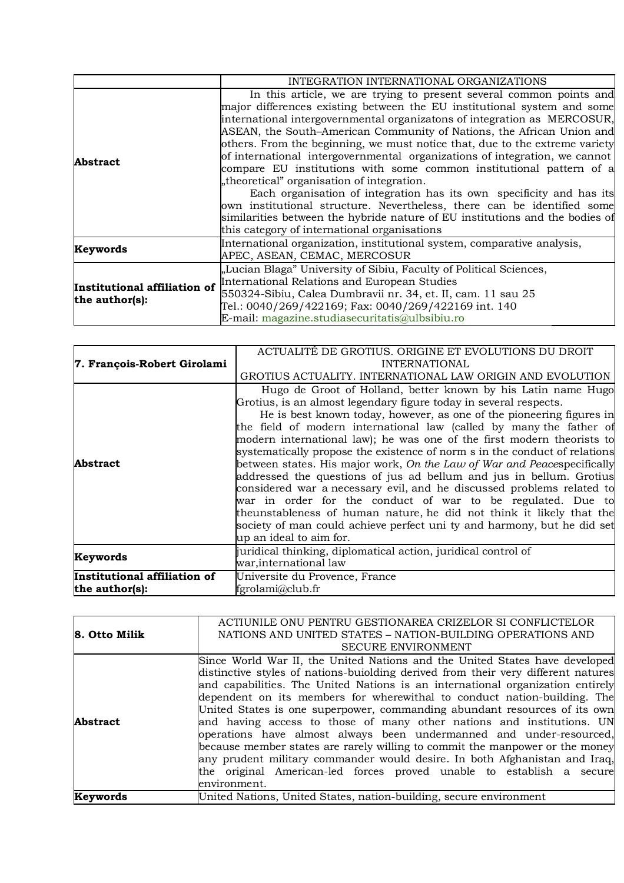|                                                | INTEGRATION INTERNATIONAL ORGANIZATIONS                                                                                                                                                                                                                                                                                                                                                                                                                                                                                                                                                                                                                                                                                                                                                                                                                                  |
|------------------------------------------------|--------------------------------------------------------------------------------------------------------------------------------------------------------------------------------------------------------------------------------------------------------------------------------------------------------------------------------------------------------------------------------------------------------------------------------------------------------------------------------------------------------------------------------------------------------------------------------------------------------------------------------------------------------------------------------------------------------------------------------------------------------------------------------------------------------------------------------------------------------------------------|
| <b>Abstract</b>                                | In this article, we are trying to present several common points and<br>major differences existing between the EU institutional system and some<br>international intergovernmental organizatons of integration as MERCOSUR,<br>ASEAN, the South-American Community of Nations, the African Union and<br>others. From the beginning, we must notice that, due to the extreme variety<br>of international intergovernmental organizations of integration, we cannot<br>compare EU institutions with some common institutional pattern of a<br>"theoretical" organisation of integration.<br>Each organisation of integration has its own specificity and has its<br>own institutional structure. Nevertheless, there can be identified some<br>similarities between the hybride nature of EU institutions and the bodies of<br>this category of international organisations |
| Keywords                                       | International organization, institutional system, comparative analysis,<br>APEC, ASEAN, CEMAC, MERCOSUR                                                                                                                                                                                                                                                                                                                                                                                                                                                                                                                                                                                                                                                                                                                                                                  |
| Institutional affiliation of<br>the author(s): | "Lucian Blaga" University of Sibiu, Faculty of Political Sciences,<br>International Relations and European Studies<br>550324-Sibiu, Calea Dumbravii nr. 34, et. II, cam. 11 sau 25<br>Tel.: 0040/269/422169; Fax: 0040/269/422169 int. 140<br>E-mail: magazine.studiasecuritatis@ulbsibiu.ro                                                                                                                                                                                                                                                                                                                                                                                                                                                                                                                                                                             |

|                              | ACTUALITE DE GROTIUS. ORIGINE ET EVOLUTIONS DU DROIT                       |
|------------------------------|----------------------------------------------------------------------------|
| 7. François-Robert Girolami  | <b>INTERNATIONAL</b>                                                       |
|                              | GROTIUS ACTUALITY. INTERNATIONAL LAW ORIGIN AND EVOLUTION                  |
|                              | Hugo de Groot of Holland, better known by his Latin name Hugo              |
|                              | Grotius, is an almost legendary figure today in several respects.          |
|                              | He is best known today, however, as one of the pioneering figures in       |
|                              | the field of modern international law (called by many the father of        |
|                              | modern international law); he was one of the first modern theorists to     |
|                              | systematically propose the existence of norm s in the conduct of relations |
| Abstract                     | between states. His major work, On the Law of War and Peacespecifically    |
|                              | addressed the questions of jus ad bellum and jus in bellum. Grotius        |
|                              | considered war a necessary evil, and he discussed problems related to      |
|                              | war in order for the conduct of war to be regulated. Due to                |
|                              | theunstableness of human nature, he did not think it likely that the       |
|                              | society of man could achieve perfect uni ty and harmony, but he did set    |
|                              | up an ideal to aim for.                                                    |
| Keywords                     | juridical thinking, diplomatical action, juridical control of              |
|                              | war, international law                                                     |
| Institutional affiliation of | Universite du Provence, France                                             |
| the author(s):               | fgrolami@club.fr                                                           |

|                                  | ACTIUNILE ONU PENTRU GESTIONAREA CRIZELOR SI CONFLICTELOR                                                                                                        |
|----------------------------------|------------------------------------------------------------------------------------------------------------------------------------------------------------------|
| 8. Otto Milik<br><b>Abstract</b> | NATIONS AND UNITED STATES - NATION-BUILDING OPERATIONS AND                                                                                                       |
|                                  | <b>SECURE ENVIRONMENT</b>                                                                                                                                        |
|                                  | Since World War II, the United Nations and the United States have developed<br>distinctive styles of nations-buiolding derived from their very different natures |
|                                  | and capabilities. The United Nations is an international organization entirely<br>dependent on its members for wherewithal to conduct nation-building. The       |
|                                  | United States is one superpower, commanding abundant resources of its own                                                                                        |
|                                  | and having access to those of many other nations and institutions. UN<br>operations have almost always been undermanned and under-resourced,                     |
|                                  | because member states are rarely willing to commit the manpower or the money<br>any prudent military commander would desire. In both Afghanistan and Iraq,       |
|                                  | the original American-led forces proved unable to establish a secure                                                                                             |
|                                  | environment.                                                                                                                                                     |
| Keywords                         | United Nations, United States, nation-building, secure environment                                                                                               |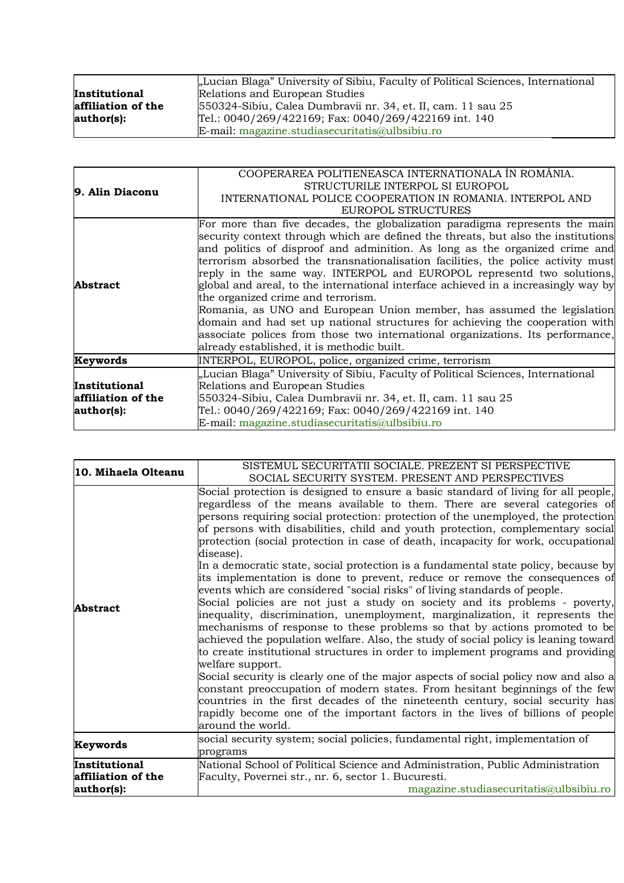|                    | "Lucian Blaga" University of Sibiu, Faculty of Political Sciences, International |
|--------------------|----------------------------------------------------------------------------------|
| Institutional      | Relations and European Studies                                                   |
| affiliation of the | 550324-Sibiu, Calea Dumbravii nr. 34, et. II, cam. 11 sau 25                     |
| author(s):         | Tel.: 0040/269/422169; Fax: 0040/269/422169 int. 140                             |
|                    | E-mail: magazine.studiasecuritatis@ulbsibiu.ro                                   |

| 9. Alin Diaconu    | COOPERAREA POLITIENEASCA INTERNATIONALA ÎN ROMÂNIA.                                |
|--------------------|------------------------------------------------------------------------------------|
|                    | STRUCTURILE INTERPOL SI EUROPOL                                                    |
|                    | INTERNATIONAL POLICE COOPERATION IN ROMANIA. INTERPOL AND                          |
|                    | EUROPOL STRUCTURES                                                                 |
|                    | For more than five decades, the globalization paradigma represents the main        |
|                    | security context through which are defined the threats, but also the institutions  |
|                    | and politics of disproof and adminition. As long as the organized crime and        |
|                    | terrorism absorbed the transnationalisation facilities, the police activity must   |
| Abstract           | reply in the same way. INTERPOL and EUROPOL representd two solutions,              |
|                    | global and areal, to the international interface achieved in a increasingly way by |
|                    | the organized crime and terrorism.                                                 |
|                    | Romania, as UNO and European Union member, has assumed the legislation             |
|                    | domain and had set up national structures for achieving the cooperation with       |
|                    | associate polices from those two international organizations. Its performance,     |
|                    | already established, it is methodic built.                                         |
| Keywords           | INTERPOL, EUROPOL, police, organized crime, terrorism                              |
|                    | "Lucian Blaga" University of Sibiu, Faculty of Political Sciences, International   |
| Institutional      | Relations and European Studies                                                     |
| affiliation of the | 550324-Sibiu, Calea Dumbravii nr. 34, et. II, cam. 11 sau 25                       |
| author(s):         | Tel.: 0040/269/422169; Fax: 0040/269/422169 int. 140                               |
|                    | E-mail: magazine.studiasecuritatis@ulbsibiu.ro                                     |

| 10. Mihaela Olteanu                               | SISTEMUL SECURITATII SOCIALE. PREZENT SI PERSPECTIVE<br>SOCIAL SECURITY SYSTEM. PRESENT AND PERSPECTIVES                                                                                                                                                                                                                                                                                                                                                                                                                                                                                                                                                                                                                                                                                                                                                                                                                                                                                                                                                                                                                                                                                                                                                                                                                                                                                                                                                                                              |
|---------------------------------------------------|-------------------------------------------------------------------------------------------------------------------------------------------------------------------------------------------------------------------------------------------------------------------------------------------------------------------------------------------------------------------------------------------------------------------------------------------------------------------------------------------------------------------------------------------------------------------------------------------------------------------------------------------------------------------------------------------------------------------------------------------------------------------------------------------------------------------------------------------------------------------------------------------------------------------------------------------------------------------------------------------------------------------------------------------------------------------------------------------------------------------------------------------------------------------------------------------------------------------------------------------------------------------------------------------------------------------------------------------------------------------------------------------------------------------------------------------------------------------------------------------------------|
| <b>Abstract</b>                                   | Social protection is designed to ensure a basic standard of living for all people,<br>regardless of the means available to them. There are several categories of<br>persons requiring social protection: protection of the unemployed, the protection<br>of persons with disabilities, child and youth protection, complementary social<br>protection (social protection in case of death, incapacity for work, occupational<br>disease).<br>In a democratic state, social protection is a fundamental state policy, because by<br>its implementation is done to prevent, reduce or remove the consequences of<br>events which are considered "social risks" of living standards of people.<br>Social policies are not just a study on society and its problems - poverty,<br>inequality, discrimination, unemployment, marginalization, it represents the<br>mechanisms of response to these problems so that by actions promoted to be<br>achieved the population welfare. Also, the study of social policy is leaning toward<br>to create institutional structures in order to implement programs and providing<br>welfare support.<br>Social security is clearly one of the major aspects of social policy now and also a<br>constant preoccupation of modern states. From hesitant beginnings of the few<br>countries in the first decades of the nineteenth century, social security has<br>rapidly become one of the important factors in the lives of billions of people<br>around the world. |
| Keywords                                          | social security system; social policies, fundamental right, implementation of<br>programs                                                                                                                                                                                                                                                                                                                                                                                                                                                                                                                                                                                                                                                                                                                                                                                                                                                                                                                                                                                                                                                                                                                                                                                                                                                                                                                                                                                                             |
| Institutional<br>affiliation of the<br>author(s): | National School of Political Science and Administration, Public Administration<br>Faculty, Povernei str., nr. 6, sector 1. Bucuresti.<br>magazine.studiasecuritatis@ulbsibiu.ro                                                                                                                                                                                                                                                                                                                                                                                                                                                                                                                                                                                                                                                                                                                                                                                                                                                                                                                                                                                                                                                                                                                                                                                                                                                                                                                       |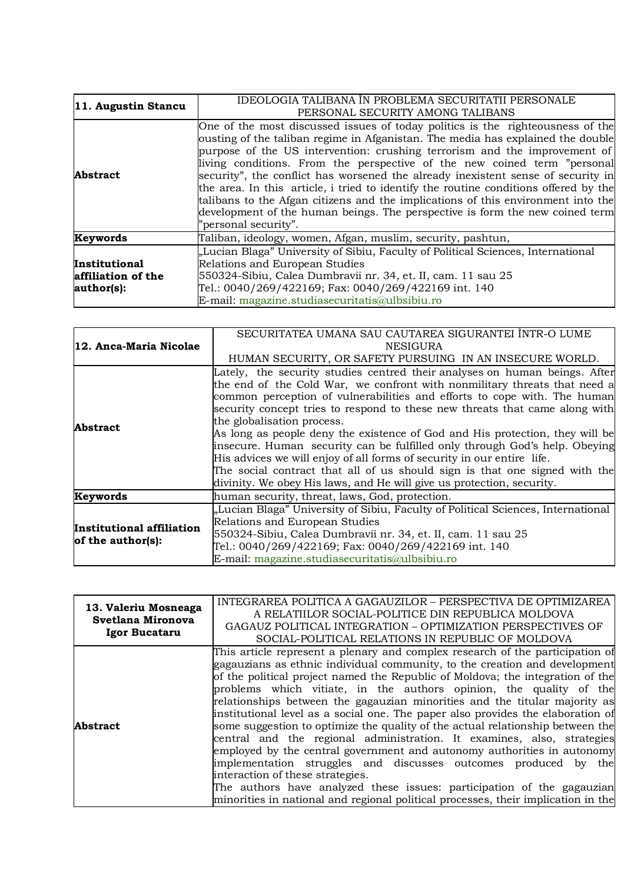| 11. Augustin Stancu                               | IDEOLOGIA TALIBANA ÎN PROBLEMA SECURITATII PERSONALE<br>PERSONAL SECURITY AMONG TALIBANS                                                                                                                                                                                                                                                                                                                                                                                                                                                                                                                                                                                                           |
|---------------------------------------------------|----------------------------------------------------------------------------------------------------------------------------------------------------------------------------------------------------------------------------------------------------------------------------------------------------------------------------------------------------------------------------------------------------------------------------------------------------------------------------------------------------------------------------------------------------------------------------------------------------------------------------------------------------------------------------------------------------|
| <b>Abstract</b>                                   | One of the most discussed issues of today politics is the righteousness of the<br>ousting of the taliban regime in Afganistan. The media has explained the double<br>purpose of the US intervention: crushing terrorism and the improvement of<br>living conditions. From the perspective of the new coined term "personal<br>security", the conflict has worsened the already inexistent sense of security in<br>the area. In this article, i tried to identify the routine conditions offered by the<br>talibans to the Afgan citizens and the implications of this environment into the<br>development of the human beings. The perspective is form the new coined term<br>"personal security". |
| Keywords                                          | Taliban, ideology, women, Afgan, muslim, security, pashtun,                                                                                                                                                                                                                                                                                                                                                                                                                                                                                                                                                                                                                                        |
| Institutional<br>affiliation of the<br>author(s): | "Lucian Blaga" University of Sibiu, Faculty of Political Sciences, International<br>Relations and European Studies<br>550324-Sibiu, Calea Dumbravii nr. 34, et. II, cam. 11 sau 25<br>Tel.: 0040/269/422169; Fax: 0040/269/422169 int. 140<br>E-mail: magazine.studiasecuritatis@ulbsibiu.ro                                                                                                                                                                                                                                                                                                                                                                                                       |

| 12. Anca-Maria Nicolae                         | SECURITATEA UMANA SAU CAUTAREA SIGURANTEI INTR-O LUME<br><b>NESIGURA</b><br>HUMAN SECURITY, OR SAFETY PURSUING IN AN INSECURE WORLD.                                                                                                                                                                                                                                                                                                                                                                                                                                                                                                                                                                                                            |
|------------------------------------------------|-------------------------------------------------------------------------------------------------------------------------------------------------------------------------------------------------------------------------------------------------------------------------------------------------------------------------------------------------------------------------------------------------------------------------------------------------------------------------------------------------------------------------------------------------------------------------------------------------------------------------------------------------------------------------------------------------------------------------------------------------|
| Abstract                                       | Lately, the security studies centred their analyses on human beings. After<br>the end of the Cold War, we confront with nonmilitary threats that need a<br>common perception of vulnerabilities and efforts to cope with. The human<br>security concept tries to respond to these new threats that came along with<br>the globalisation process.<br>As long as people deny the existence of God and His protection, they will be<br>insecure. Human security can be fulfilled only through God's help. Obeying<br>His advices we will enjoy of all forms of security in our entire life.<br>The social contract that all of us should sign is that one signed with the<br>divinity. We obey His laws, and He will give us protection, security. |
| Keywords                                       | human security, threat, laws, God, protection.                                                                                                                                                                                                                                                                                                                                                                                                                                                                                                                                                                                                                                                                                                  |
| Institutional affiliation<br>of the author(s): | "Lucian Blaga" University of Sibiu, Faculty of Political Sciences, International<br>Relations and European Studies<br>550324-Sibiu, Calea Dumbravii nr. 34, et. II, cam. 11 sau 25<br>Tel.: 0040/269/422169; Fax: 0040/269/422169 int. 140<br>E-mail: magazine.studiasecuritatis@ulbsibiu.ro                                                                                                                                                                                                                                                                                                                                                                                                                                                    |

| 13. Valeriu Mosneaga<br>Svetlana Mironova<br>Igor Bucataru | INTEGRAREA POLITICA A GAGAUZILOR - PERSPECTIVA DE OPTIMIZAREA<br>A RELATIILOR SOCIAL-POLITICE DIN REPUBLICA MOLDOVA<br>GAGAUZ POLITICAL INTEGRATION - OPTIMIZATION PERSPECTIVES OF<br>SOCIAL-POLITICAL RELATIONS IN REPUBLIC OF MOLDOVA                                                                                                                                                                                                                                                                                                                                                                                                                                                                                                                                                                                                                                                                                                                                                           |
|------------------------------------------------------------|---------------------------------------------------------------------------------------------------------------------------------------------------------------------------------------------------------------------------------------------------------------------------------------------------------------------------------------------------------------------------------------------------------------------------------------------------------------------------------------------------------------------------------------------------------------------------------------------------------------------------------------------------------------------------------------------------------------------------------------------------------------------------------------------------------------------------------------------------------------------------------------------------------------------------------------------------------------------------------------------------|
| Abstract                                                   | This article represent a plenary and complex research of the participation of<br>gagauzians as ethnic individual community, to the creation and development<br>of the political project named the Republic of Moldova; the integration of the<br>problems which vitiate, in the authors opinion, the quality of the<br>relationships between the gagauzian minorities and the titular majority as<br>institutional level as a social one. The paper also provides the elaboration of<br>some suggestion to optimize the quality of the actual relationship between the<br>central and the regional administration. It examines, also, strategies<br>employed by the central government and autonomy authorities in autonomy<br>implementation struggles and discusses outcomes produced by the<br>interaction of these strategies.<br>The authors have analyzed these issues: participation of the gagauzian<br>minorities in national and regional political processes, their implication in the |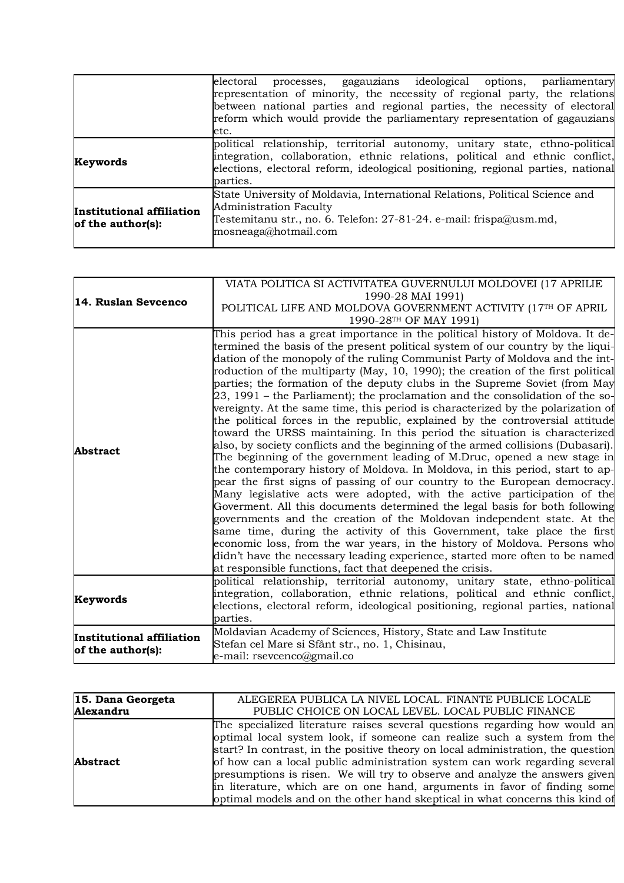|                                                | electoral processes, gagauzians ideological options, parliamentary                                                                                                           |
|------------------------------------------------|------------------------------------------------------------------------------------------------------------------------------------------------------------------------------|
|                                                | representation of minority, the necessity of regional party, the relations                                                                                                   |
|                                                | between national parties and regional parties, the necessity of electoral                                                                                                    |
|                                                | reform which would provide the parliamentary representation of gagauzians                                                                                                    |
|                                                | etc.                                                                                                                                                                         |
| Keywords                                       | political relationship, territorial autonomy, unitary state, ethno-political                                                                                                 |
|                                                | integration, collaboration, ethnic relations, political and ethnic conflict,<br>elections, electoral reform, ideological positioning, regional parties, national<br>parties. |
| Institutional affiliation<br>of the author(s): | State University of Moldavia, International Relations, Political Science and<br><b>Administration Faculty</b>                                                                |
|                                                | Testemitanu str., no. 6. Telefon: 27-81-24. e-mail: frispa@usm.md,<br>mosneaga@hotmail.com                                                                                   |

|                           | VIATA POLITICA SI ACTIVITATEA GUVERNULUI MOLDOVEI (17 APRILIE                                                                                                     |
|---------------------------|-------------------------------------------------------------------------------------------------------------------------------------------------------------------|
| 14. Ruslan Sevcenco       | 1990-28 MAI 1991)                                                                                                                                                 |
|                           | POLITICAL LIFE AND MOLDOVA GOVERNMENT ACTIVITY (17TH OF APRIL                                                                                                     |
|                           | 1990-28TH OF MAY 1991)                                                                                                                                            |
|                           | This period has a great importance in the political history of Moldova. It de-                                                                                    |
|                           | termined the basis of the present political system of our country by the liqui-                                                                                   |
|                           | dation of the monopoly of the ruling Communist Party of Moldova and the int-                                                                                      |
|                           | roduction of the multiparty (May, 10, 1990); the creation of the first political                                                                                  |
|                           | parties; the formation of the deputy clubs in the Supreme Soviet (from May                                                                                        |
|                           | 23, 1991 – the Parliament); the proclamation and the consolidation of the so-<br>vereignty. At the same time, this period is characterized by the polarization of |
|                           | the political forces in the republic, explained by the controversial attitude                                                                                     |
| Abstract                  | toward the URSS maintaining. In this period the situation is characterized                                                                                        |
|                           | also, by society conflicts and the beginning of the armed collisions (Dubasari).                                                                                  |
|                           | The beginning of the government leading of M.Druc, opened a new stage in                                                                                          |
|                           | the contemporary history of Moldova. In Moldova, in this period, start to ap-                                                                                     |
|                           | pear the first signs of passing of our country to the European democracy.                                                                                         |
|                           | Many legislative acts were adopted, with the active participation of the                                                                                          |
|                           | Goverment. All this documents determined the legal basis for both following                                                                                       |
|                           | governments and the creation of the Moldovan independent state. At the                                                                                            |
|                           | same time, during the activity of this Government, take place the first                                                                                           |
|                           | economic loss, from the war years, in the history of Moldova. Persons who                                                                                         |
|                           | didn't have the necessary leading experience, started more often to be named                                                                                      |
|                           | at responsible functions, fact that deepened the crisis.                                                                                                          |
| Keywords                  | political relationship, territorial autonomy, unitary state, ethno-political                                                                                      |
|                           | integration, collaboration, ethnic relations, political and ethnic conflict,                                                                                      |
|                           | elections, electoral reform, ideological positioning, regional parties, national                                                                                  |
|                           | parties.                                                                                                                                                          |
| Institutional affiliation | Moldavian Academy of Sciences, History, State and Law Institute                                                                                                   |
| of the author(s):         | Stefan cel Mare si Sfânt str., no. 1, Chisinau,<br>e-mail: rsevcenco@gmail.co                                                                                     |
|                           |                                                                                                                                                                   |

| 15. Dana Georgeta | ALEGEREA PUBLICA LA NIVEL LOCAL. FINANTE PUBLICE LOCALE                                                                                                                                                                                                                                                                                                                                                                                                                                                                                                             |
|-------------------|---------------------------------------------------------------------------------------------------------------------------------------------------------------------------------------------------------------------------------------------------------------------------------------------------------------------------------------------------------------------------------------------------------------------------------------------------------------------------------------------------------------------------------------------------------------------|
| Alexandru         | PUBLIC CHOICE ON LOCAL LEVEL. LOCAL PUBLIC FINANCE                                                                                                                                                                                                                                                                                                                                                                                                                                                                                                                  |
| <b>Abstract</b>   | The specialized literature raises several questions regarding how would an<br>optimal local system look, if someone can realize such a system from the<br>start? In contrast, in the positive theory on local administration, the question<br>of how can a local public administration system can work regarding several<br>presumptions is risen. We will try to observe and analyze the answers given<br>in literature, which are on one hand, arguments in favor of finding some<br>optimal models and on the other hand skeptical in what concerns this kind of |